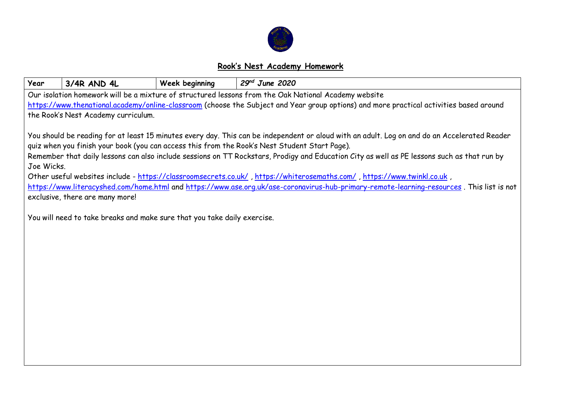

## **Rook's Nest Academy Homework**

| Year                                                                                                                                         | 3/4R AND 4L                                                                                                                                                                  | Week beginning | $29nd$ June 2020 |  |  |  |  |  |
|----------------------------------------------------------------------------------------------------------------------------------------------|------------------------------------------------------------------------------------------------------------------------------------------------------------------------------|----------------|------------------|--|--|--|--|--|
| Our isolation homework will be a mixture of structured lessons from the Oak National Academy website                                         |                                                                                                                                                                              |                |                  |  |  |  |  |  |
| https://www.thenational.academy/online-classroom (choose the Subject and Year group options) and more practical activities based around      |                                                                                                                                                                              |                |                  |  |  |  |  |  |
| the Rook's Nest Academy curriculum.                                                                                                          |                                                                                                                                                                              |                |                  |  |  |  |  |  |
|                                                                                                                                              |                                                                                                                                                                              |                |                  |  |  |  |  |  |
| You should be reading for at least 15 minutes every day. This can be independent or aloud with an adult. Log on and do an Accelerated Reader |                                                                                                                                                                              |                |                  |  |  |  |  |  |
| quiz when you finish your book (you can access this from the Rook's Nest Student Start Page).                                                |                                                                                                                                                                              |                |                  |  |  |  |  |  |
| Remember that daily lessons can also include sessions on TT Rockstars, Prodigy and Education City as well as PE lessons such as that run by  |                                                                                                                                                                              |                |                  |  |  |  |  |  |
| Joe Wicks.                                                                                                                                   |                                                                                                                                                                              |                |                  |  |  |  |  |  |
| Other useful websites include - https://classroomsecrets.co.uk/, https://whiterosemaths.com/, https://www.twinkl.co.uk,                      |                                                                                                                                                                              |                |                  |  |  |  |  |  |
|                                                                                                                                              | https://www.literacyshed.com/home.html and https://www.ase.org.uk/ase-coronavirus-hub-primary-remote-learning-resources. This list is not<br>exclusive, there are many more! |                |                  |  |  |  |  |  |
|                                                                                                                                              |                                                                                                                                                                              |                |                  |  |  |  |  |  |
|                                                                                                                                              | You will need to take breaks and make sure that you take daily exercise.                                                                                                     |                |                  |  |  |  |  |  |
|                                                                                                                                              |                                                                                                                                                                              |                |                  |  |  |  |  |  |
|                                                                                                                                              |                                                                                                                                                                              |                |                  |  |  |  |  |  |
|                                                                                                                                              |                                                                                                                                                                              |                |                  |  |  |  |  |  |
|                                                                                                                                              |                                                                                                                                                                              |                |                  |  |  |  |  |  |
|                                                                                                                                              |                                                                                                                                                                              |                |                  |  |  |  |  |  |
|                                                                                                                                              |                                                                                                                                                                              |                |                  |  |  |  |  |  |
|                                                                                                                                              |                                                                                                                                                                              |                |                  |  |  |  |  |  |
|                                                                                                                                              |                                                                                                                                                                              |                |                  |  |  |  |  |  |
|                                                                                                                                              |                                                                                                                                                                              |                |                  |  |  |  |  |  |
|                                                                                                                                              |                                                                                                                                                                              |                |                  |  |  |  |  |  |
|                                                                                                                                              |                                                                                                                                                                              |                |                  |  |  |  |  |  |
|                                                                                                                                              |                                                                                                                                                                              |                |                  |  |  |  |  |  |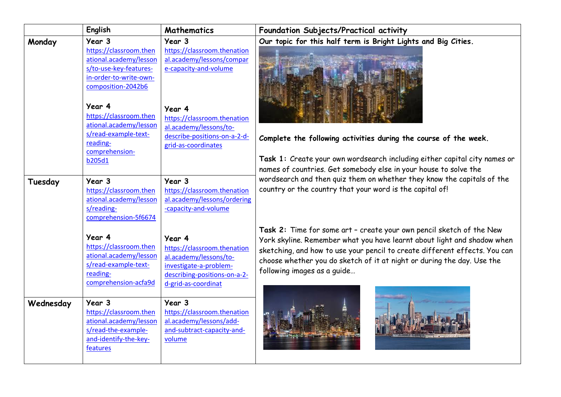|           | <b>English</b>                                                                                                                                                                                                                                                     | <b>Mathematics</b>                                                                                                                                                                                                    | Foundation Subjects/Practical activity                                                                                                                                                                                                                                                                                                 |
|-----------|--------------------------------------------------------------------------------------------------------------------------------------------------------------------------------------------------------------------------------------------------------------------|-----------------------------------------------------------------------------------------------------------------------------------------------------------------------------------------------------------------------|----------------------------------------------------------------------------------------------------------------------------------------------------------------------------------------------------------------------------------------------------------------------------------------------------------------------------------------|
| Monday    | Year 3<br>https://classroom.then<br>ational.academy/lesson<br>s/to-use-key-features-<br>in-order-to-write-own-<br>composition-2042b6<br>Year 4<br>https://classroom.then<br>ational.academy/lesson<br>s/read-example-text-<br>reading-<br>comprehension-<br>b205d1 | Year 3<br>https://classroom.thenation<br>al.academy/lessons/compar<br>e-capacity-and-volume<br>Year 4<br>https://classroom.thenation<br>al.academy/lessons/to-<br>describe-positions-on-a-2-d-<br>grid-as-coordinates | Our topic for this half term is Bright Lights and Big Cities.<br>Complete the following activities during the course of the week.<br>Task 1: Create your own wordsearch including either capital city names or                                                                                                                         |
| Tuesday   | Year 3<br>https://classroom.then<br>ational.academy/lesson<br>s/reading-<br>comprehension-5f6674                                                                                                                                                                   | Year 3<br>https://classroom.thenation<br>al.academy/lessons/ordering<br>-capacity-and-volume                                                                                                                          | names of countries. Get somebody else in your house to solve the<br>wordsearch and then quiz them on whether they know the capitals of the<br>country or the country that your word is the capital of!                                                                                                                                 |
|           | Year 4<br>https://classroom.then<br>ational.academy/lesson<br>s/read-example-text-<br>reading-<br>comprehension-acfa9d                                                                                                                                             | Year 4<br>https://classroom.thenation<br>al.academy/lessons/to-<br>investigate-a-problem-<br>describing-positions-on-a-2-<br>d-grid-as-coordinat                                                                      | Task 2: Time for some art - create your own pencil sketch of the New<br>York skyline. Remember what you have learnt about light and shadow when<br>sketching, and how to use your pencil to create different effects. You can<br>choose whether you do sketch of it at night or during the day. Use the<br>following images as a guide |
| Wednesday | Year 3<br>https://classroom.then<br>ational.academy/lesson<br>s/read-the-example-<br>and-identify-the-key-<br>features                                                                                                                                             | Year 3<br>https://classroom.thenation<br>al.academy/lessons/add-<br>and-subtract-capacity-and-<br>volume                                                                                                              |                                                                                                                                                                                                                                                                                                                                        |